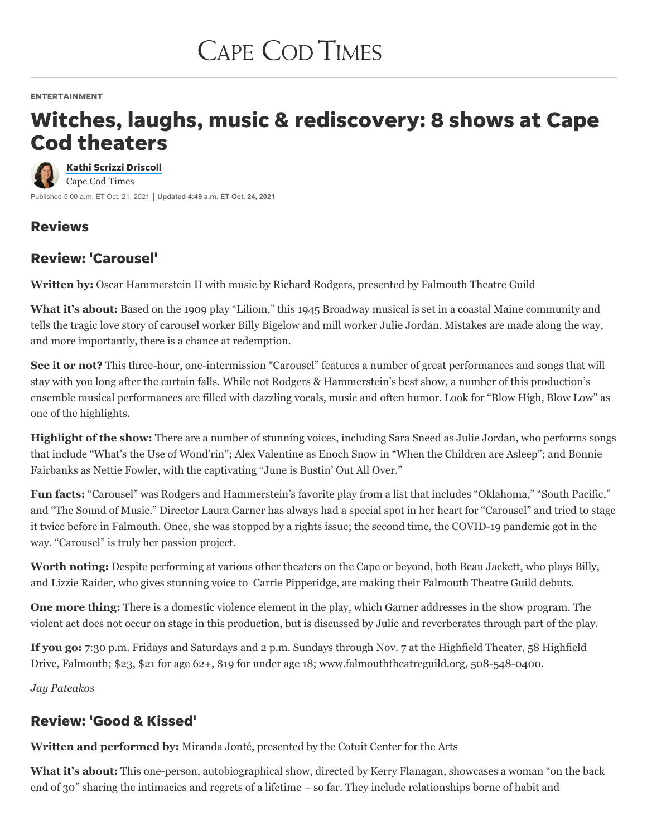ENTERTAINMENT

# Witches, laughs, music & rediscovery: 8 shows at Cape Cod theaters

Published 5:00 a.m. ET Oct. 21, 2021 **Updated 4:49 a.m. ET Oct. 24, 2021** Kathi Scrizzi [Driscoll](https://www.capecodtimes.com/staff/3631221001/kathi-scrizzi-driscoll/) Cape Cod Times

# Reviews

# Review: 'Carousel'

**Written by:** Oscar Hammerstein II with music by Richard Rodgers, presented by Falmouth Theatre Guild

**What it's about:** Based on the 1909 play "Liliom," this 1945 Broadway musical is set in a coastal Maine community and tells the tragic love story of carousel worker Billy Bigelow and mill worker Julie Jordan. Mistakes are made along the way, and more importantly, there is a chance at redemption.

**See it or not?** This three-hour, one-intermission "Carousel" features a number of great performances and songs that will stay with you long after the curtain falls. While not Rodgers & Hammerstein's best show, a number of this production's ensemble musical performances are filled with dazzling vocals, music and often humor. Look for "Blow High, Blow Low" as one of the highlights.

**Highlight of the show:** There are a number of stunning voices, including Sara Sneed as Julie Jordan, who performs songs that include "What's the Use of Wond'rin"; Alex Valentine as Enoch Snow in "When the Children are Asleep"; and Bonnie Fairbanks as Nettie Fowler, with the captivating "June is Bustin' Out All Over."

**Fun facts:** "Carousel" was Rodgers and Hammerstein's favorite play from a list that includes "Oklahoma," "South Pacific," and "The Sound of Music." Director Laura Garner has always had a special spot in her heart for "Carousel" and tried to stage it twice before in Falmouth. Once, she was stopped by a rights issue; the second time, the COVID-19 pandemic got in the way. "Carousel" is truly her passion project.

**Worth noting:** Despite performing at various other theaters on the Cape or beyond, both Beau Jackett, who plays Billy, and Lizzie Raider, who gives stunning voice to Carrie Pipperidge, are making their Falmouth Theatre Guild debuts.

**One more thing:** There is a domestic violence element in the play, which Garner addresses in the show program. The violent act does not occur on stage in this production, but is discussed by Julie and reverberates through part of the play.

**If you go:** 7:30 p.m. Fridays and Saturdays and 2 p.m. Sundays through Nov. 7 at the Highfield Theater, 58 Highfield Drive, Falmouth; \$23, \$21 for age 62+, \$19 for under age 18; [www.falmouththeatreguild.org](http://www.falmouththeatreguild.org/), 508-548-0400.

*Jay Pateakos*

# Review: 'Good & Kissed'

**Written and performed by:** Miranda Jonté, presented by the Cotuit Center for the Arts

**What it's about:** This one-person, autobiographical show, directed by Kerry Flanagan, showcases a woman "on the back end of 30" sharing the intimacies and regrets of a lifetime – so far. They include relationships borne of habit and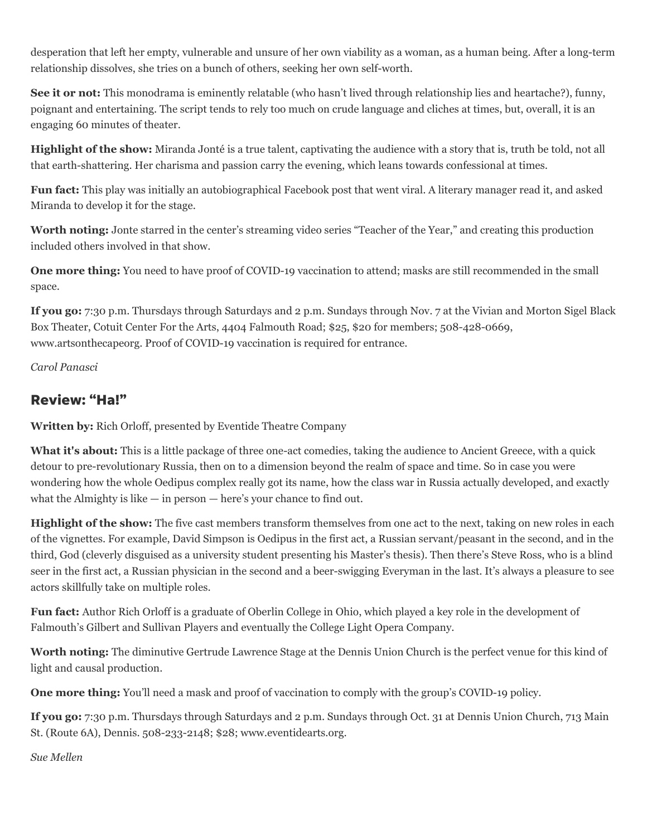desperation that left her empty, vulnerable and unsure of her own viability as a woman, as a human being. After a long-term relationship dissolves, she tries on a bunch of others, seeking her own self-worth.

**See it or not:** This monodrama is eminently relatable (who hasn't lived through relationship lies and heartache?), funny, poignant and entertaining. The script tends to rely too much on crude language and cliches at times, but, overall, it is an engaging 60 minutes of theater.

**Highlight of the show:** Miranda Jonté is a true talent, captivating the audience with a story that is, truth be told, not all that earth-shattering. Her charisma and passion carry the evening, which leans towards confessional at times.

**Fun fact:** This play was initially an autobiographical Facebook post that went viral. A literary manager read it, and asked Miranda to develop it for the stage.

**Worth noting:** Jonte starred in the center's streaming video series "Teacher of the Year," and creating this production included others involved in that show.

**One more thing:** You need to have proof of COVID-19 vaccination to attend; masks are still recommended in the small space.

**If you go:** 7:30 p.m. Thursdays through Saturdays and 2 p.m. Sundays through Nov. 7 at the Vivian and Morton Sigel Black Box Theater, Cotuit Center For the Arts, 4404 Falmouth Road; \$25, \$20 for members; 508-428-0669, [www.artsonthecapeorg](http://www.artsonthecapeorg/). Proof of COVID-19 vaccination is required for entrance.

*Carol Panasci*

#### Review: "Ha!"

**Written by:** Rich Orloff, presented by Eventide Theatre Company

**What it's about:** This is a little package of three one-act comedies, taking the audience to Ancient Greece, with a quick detour to pre-revolutionary Russia, then on to a dimension beyond the realm of space and time. So in case you were wondering how the whole Oedipus complex really got its name, how the class war in Russia actually developed, and exactly what the Almighty is like — in person — here's your chance to find out.

**Highlight of the show:** The five cast members transform themselves from one act to the next, taking on new roles in each of the vignettes. For example, David Simpson is Oedipus in the first act, a Russian servant/peasant in the second, and in the third, God (cleverly disguised as a university student presenting his Master's thesis). Then there's Steve Ross, who is a blind seer in the first act, a Russian physician in the second and a beer-swigging Everyman in the last. It's always a pleasure to see actors skillfully take on multiple roles.

**Fun fact:** Author Rich Orloff is a graduate of Oberlin College in Ohio, which played a key role in the development of Falmouth's Gilbert and Sullivan Players and eventually the College Light Opera Company.

**Worth noting:** The diminutive Gertrude Lawrence Stage at the Dennis Union Church is the perfect venue for this kind of light and causal production.

**One more thing:** You'll need a mask and proof of vaccination to comply with the group's COVID-19 policy.

**If you go:** 7:30 p.m. Thursdays through Saturdays and 2 p.m. Sundays through Oct. 31 at Dennis Union Church, 713 Main St. (Route 6A), Dennis. 508-233-2148; \$28; [www.eventidearts.org.](http://www.eventidearts.org/)

*Sue Mellen*